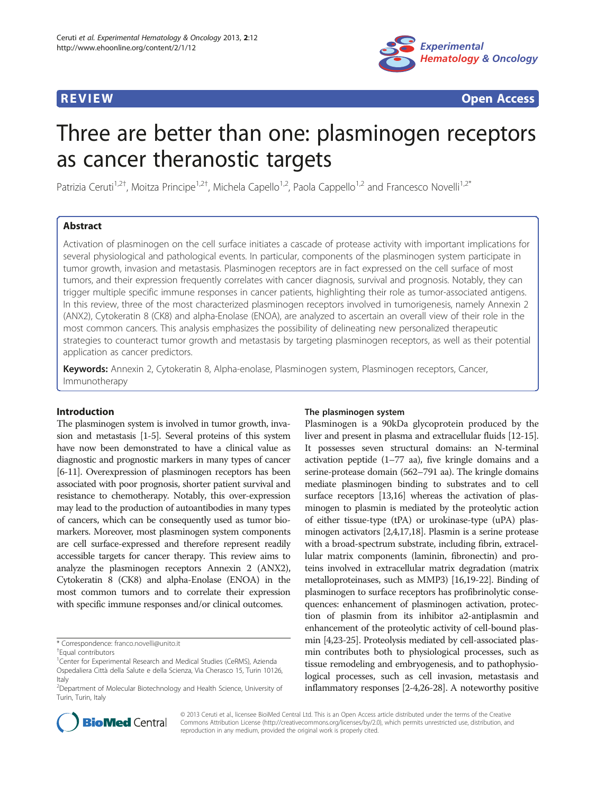

**REVIEW REVIEW** *REVIEW REVIEW REVIEW REVIEW REVIEW REVIEW REVIEW REVIEW REVIEW* 

# Three are better than one: plasminogen receptors as cancer theranostic targets

Patrizia Ceruti<sup>1,2†</sup>, Moitza Principe<sup>1,2†</sup>, Michela Capello<sup>1,2</sup>, Paola Cappello<sup>1,2</sup> and Francesco Novelli<sup>1,2\*</sup>

# Abstract

Activation of plasminogen on the cell surface initiates a cascade of protease activity with important implications for several physiological and pathological events. In particular, components of the plasminogen system participate in tumor growth, invasion and metastasis. Plasminogen receptors are in fact expressed on the cell surface of most tumors, and their expression frequently correlates with cancer diagnosis, survival and prognosis. Notably, they can trigger multiple specific immune responses in cancer patients, highlighting their role as tumor-associated antigens. In this review, three of the most characterized plasminogen receptors involved in tumorigenesis, namely Annexin 2 (ANX2), Cytokeratin 8 (CK8) and alpha-Enolase (ENOA), are analyzed to ascertain an overall view of their role in the most common cancers. This analysis emphasizes the possibility of delineating new personalized therapeutic strategies to counteract tumor growth and metastasis by targeting plasminogen receptors, as well as their potential application as cancer predictors.

Keywords: Annexin 2, Cytokeratin 8, Alpha-enolase, Plasminogen system, Plasminogen receptors, Cancer, Immunotherapy

# Introduction

The plasminogen system is involved in tumor growth, invasion and metastasis [\[1-5\]](#page-5-0). Several proteins of this system have now been demonstrated to have a clinical value as diagnostic and prognostic markers in many types of cancer [[6](#page-5-0)-[11](#page-6-0)]. Overexpression of plasminogen receptors has been associated with poor prognosis, shorter patient survival and resistance to chemotherapy. Notably, this over-expression may lead to the production of autoantibodies in many types of cancers, which can be consequently used as tumor biomarkers. Moreover, most plasminogen system components are cell surface-expressed and therefore represent readily accessible targets for cancer therapy. This review aims to analyze the plasminogen receptors Annexin 2 (ANX2), Cytokeratin 8 (CK8) and alpha-Enolase (ENOA) in the most common tumors and to correlate their expression with specific immune responses and/or clinical outcomes.

\* Correspondence: [franco.novelli@unito.it](mailto:franco.novelli@unito.it) †

Equal contributors

# The plasminogen system

Plasminogen is a 90kDa glycoprotein produced by the liver and present in plasma and extracellular fluids [\[12](#page-6-0)-[15](#page-6-0)]. It possesses seven structural domains: an N-terminal activation peptide (1–77 aa), five kringle domains and a serine-protease domain (562–791 aa). The kringle domains mediate plasminogen binding to substrates and to cell surface receptors [[13,16\]](#page-6-0) whereas the activation of plasminogen to plasmin is mediated by the proteolytic action of either tissue-type (tPA) or urokinase-type (uPA) plasminogen activators [\[2,4,](#page-5-0)[17,18\]](#page-6-0). Plasmin is a serine protease with a broad-spectrum substrate, including fibrin, extracellular matrix components (laminin, fibronectin) and proteins involved in extracellular matrix degradation (matrix metalloproteinases, such as MMP3) [\[16,19](#page-6-0)-[22](#page-6-0)]. Binding of plasminogen to surface receptors has profibrinolytic consequences: enhancement of plasminogen activation, protection of plasmin from its inhibitor a2-antiplasmin and enhancement of the proteolytic activity of cell-bound plasmin [\[4](#page-5-0)[,23-25\]](#page-6-0). Proteolysis mediated by cell-associated plasmin contributes both to physiological processes, such as tissue remodeling and embryogenesis, and to pathophysiological processes, such as cell invasion, metastasis and inflammatory responses [\[2-4,](#page-5-0)[26-28](#page-6-0)]. A noteworthy positive



© 2013 Ceruti et al., licensee BioiMed Central Ltd. This is an Open Access article distributed under the terms of the Creative Commons Attribution License [\(http://creativecommons.org/licenses/by/2.0\)](http://creativecommons.org/licenses/by/2.0), which permits unrestricted use, distribution, and reproduction in any medium, provided the original work is properly cited.

<sup>&</sup>lt;sup>1</sup>Center for Experimental Research and Medical Studies (CeRMS), Azienda Ospedaliera Città della Salute e della Scienza, Via Cherasco 15, Turin 10126, Italy

<sup>&</sup>lt;sup>2</sup> Department of Molecular Biotechnology and Health Science, University of Turin, Turin, Italy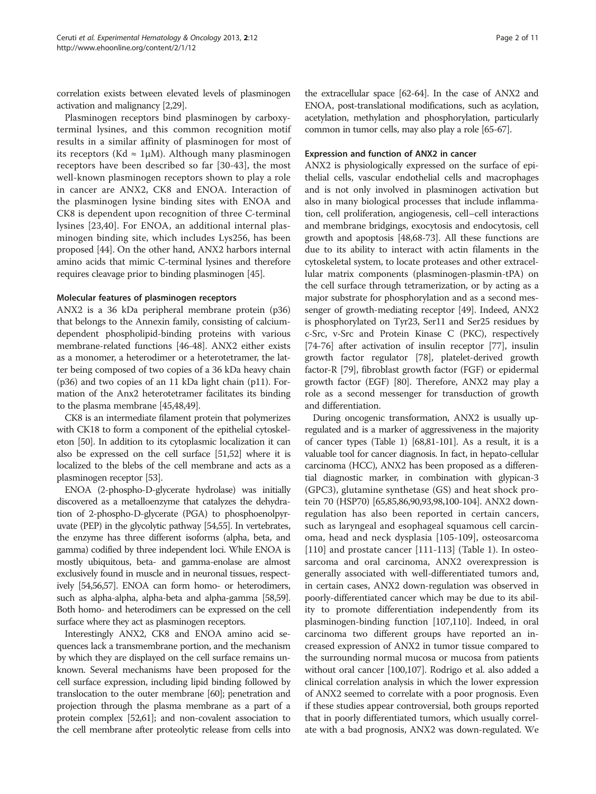correlation exists between elevated levels of plasminogen activation and malignancy [\[2](#page-5-0)[,29\]](#page-6-0).

Plasminogen receptors bind plasminogen by carboxyterminal lysines, and this common recognition motif results in a similar affinity of plasminogen for most of its receptors (Kd  $\approx 1 \mu M$ ). Although many plasminogen receptors have been described so far [[30](#page-6-0)-[43\]](#page-6-0), the most well-known plasminogen receptors shown to play a role in cancer are ANX2, CK8 and ENOA. Interaction of the plasminogen lysine binding sites with ENOA and CK8 is dependent upon recognition of three C-terminal lysines [\[23](#page-6-0),[40\]](#page-6-0). For ENOA, an additional internal plasminogen binding site, which includes Lys256, has been proposed [[44](#page-6-0)]. On the other hand, ANX2 harbors internal amino acids that mimic C-terminal lysines and therefore requires cleavage prior to binding plasminogen [\[45\]](#page-6-0).

# Molecular features of plasminogen receptors

ANX2 is a 36 kDa peripheral membrane protein (p36) that belongs to the Annexin family, consisting of calciumdependent phospholipid-binding proteins with various membrane-related functions [\[46-48\]](#page-6-0). ANX2 either exists as a monomer, a heterodimer or a heterotetramer, the latter being composed of two copies of a 36 kDa heavy chain (p36) and two copies of an 11 kDa light chain (p11). Formation of the Anx2 heterotetramer facilitates its binding to the plasma membrane [\[45,48,49](#page-6-0)].

CK8 is an intermediate filament protein that polymerizes with CK18 to form a component of the epithelial cytoskeleton [[50](#page-6-0)]. In addition to its cytoplasmic localization it can also be expressed on the cell surface [[51,52\]](#page-6-0) where it is localized to the blebs of the cell membrane and acts as a plasminogen receptor [\[53\]](#page-6-0).

ENOA (2-phospho-D-glycerate hydrolase) was initially discovered as a metalloenzyme that catalyzes the dehydration of 2-phospho-D-glycerate (PGA) to phosphoenolpyruvate (PEP) in the glycolytic pathway [[54,55](#page-6-0)]. In vertebrates, the enzyme has three different isoforms (alpha, beta, and gamma) codified by three independent loci. While ENOA is mostly ubiquitous, beta- and gamma-enolase are almost exclusively found in muscle and in neuronal tissues, respectively [\[54,56,57](#page-6-0)]. ENOA can form homo- or heterodimers, such as alpha-alpha, alpha-beta and alpha-gamma [\[58,59](#page-6-0)]. Both homo- and heterodimers can be expressed on the cell surface where they act as plasminogen receptors.

Interestingly ANX2, CK8 and ENOA amino acid sequences lack a transmembrane portion, and the mechanism by which they are displayed on the cell surface remains unknown. Several mechanisms have been proposed for the cell surface expression, including lipid binding followed by translocation to the outer membrane [\[60\]](#page-7-0); penetration and projection through the plasma membrane as a part of a protein complex [\[52,](#page-6-0)[61](#page-7-0)]; and non-covalent association to the cell membrane after proteolytic release from cells into

the extracellular space [[62-64\]](#page-7-0). In the case of ANX2 and ENOA, post-translational modifications, such as acylation, acetylation, methylation and phosphorylation, particularly common in tumor cells, may also play a role [\[65-67\]](#page-7-0).

#### Expression and function of ANX2 in cancer

ANX2 is physiologically expressed on the surface of epithelial cells, vascular endothelial cells and macrophages and is not only involved in plasminogen activation but also in many biological processes that include inflammation, cell proliferation, angiogenesis, cell–cell interactions and membrane bridgings, exocytosis and endocytosis, cell growth and apoptosis [[48](#page-6-0)[,68-73](#page-7-0)]. All these functions are due to its ability to interact with actin filaments in the cytoskeletal system, to locate proteases and other extracellular matrix components (plasminogen-plasmin-tPA) on the cell surface through tetramerization, or by acting as a major substrate for phosphorylation and as a second messenger of growth-mediating receptor [\[49\]](#page-6-0). Indeed, ANX2 is phosphorylated on Tyr23, Ser11 and Ser25 residues by c-Src, v-Src and Protein Kinase C (PKC), respectively [[74](#page-7-0)-[76\]](#page-7-0) after activation of insulin receptor [[77](#page-7-0)], insulin growth factor regulator [\[78\]](#page-7-0), platelet-derived growth factor-R [\[79](#page-7-0)], fibroblast growth factor (FGF) or epidermal growth factor (EGF) [[80](#page-7-0)]. Therefore, ANX2 may play a role as a second messenger for transduction of growth and differentiation.

During oncogenic transformation, ANX2 is usually upregulated and is a marker of aggressiveness in the majority of cancer types (Table [1](#page-2-0)) [[68,81-101](#page-7-0)]. As a result, it is a valuable tool for cancer diagnosis. In fact, in hepato-cellular carcinoma (HCC), ANX2 has been proposed as a differential diagnostic marker, in combination with glypican-3 (GPC3), glutamine synthetase (GS) and heat shock protein 70 (HSP70) [\[65,85,86,90,93,98,100](#page-7-0)[-104\]](#page-8-0). ANX2 downregulation has also been reported in certain cancers, such as laryngeal and esophageal squamous cell carcinoma, head and neck dysplasia [[105](#page-8-0)-[109\]](#page-8-0), osteosarcoma [[110\]](#page-8-0) and prostate cancer [\[111](#page-8-0)-[113\]](#page-8-0) (Table [1](#page-2-0)). In osteosarcoma and oral carcinoma, ANX2 overexpression is generally associated with well-differentiated tumors and, in certain cases, ANX2 down-regulation was observed in poorly-differentiated cancer which may be due to its ability to promote differentiation independently from its plasminogen-binding function [[107,110\]](#page-8-0). Indeed, in oral carcinoma two different groups have reported an increased expression of ANX2 in tumor tissue compared to the surrounding normal mucosa or mucosa from patients without oral cancer [\[100,](#page-7-0)[107](#page-8-0)]. Rodrigo et al. also added a clinical correlation analysis in which the lower expression of ANX2 seemed to correlate with a poor prognosis. Even if these studies appear controversial, both groups reported that in poorly differentiated tumors, which usually correlate with a bad prognosis, ANX2 was down-regulated. We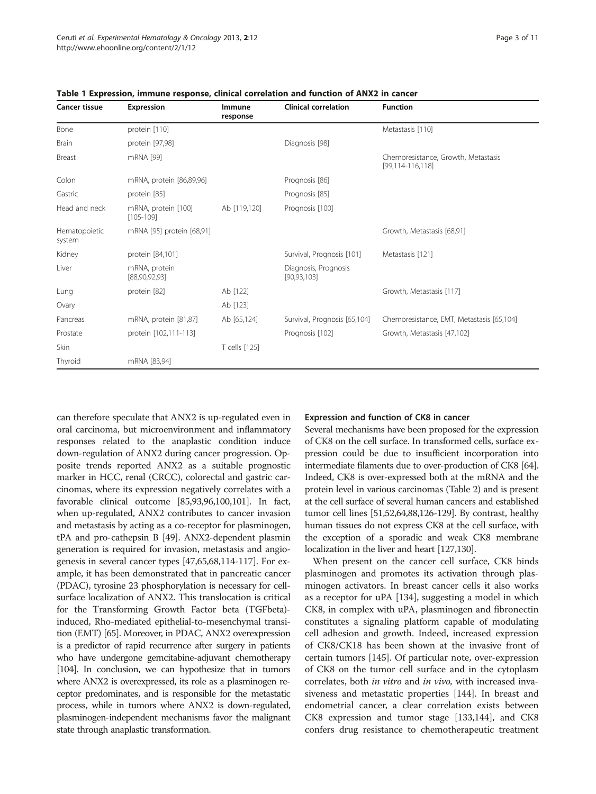| <b>Cancer tissue</b>    | Expression                           | Immune<br>response | <b>Clinical correlation</b>           | <b>Function</b>                                         |
|-------------------------|--------------------------------------|--------------------|---------------------------------------|---------------------------------------------------------|
| Bone                    | protein [110]                        |                    |                                       | Metastasis [110]                                        |
| <b>Brain</b>            | protein [97,98]                      |                    | Diagnosis [98]                        |                                                         |
| Breast                  | mRNA [99]                            |                    |                                       | Chemoresistance, Growth, Metastasis<br>[99,114-116,118] |
| Colon                   | mRNA, protein [86,89,96]             |                    | Prognosis [86]                        |                                                         |
| Gastric                 | protein [85]                         |                    | Prognosis [85]                        |                                                         |
| Head and neck           | mRNA, protein [100]<br>$[105 - 109]$ | Ab [119,120]       | Prognosis [100]                       |                                                         |
| Hematopoietic<br>system | mRNA [95] protein [68,91]            |                    |                                       | Growth, Metastasis [68,91]                              |
| Kidney                  | protein [84,101]                     |                    | Survival, Prognosis [101]             | Metastasis [121]                                        |
| Liver                   | mRNA, protein<br>[88,90,92,93]       |                    | Diagnosis, Prognosis<br>[90, 93, 103] |                                                         |
| Lung                    | protein [82]                         | Ab [122]           |                                       | Growth, Metastasis [117]                                |
| Ovary                   |                                      | Ab [123]           |                                       |                                                         |
| Pancreas                | mRNA, protein [81,87]                | Ab [65,124]        | Survival, Prognosis [65,104]          | Chemoresistance, EMT, Metastasis [65,104]               |
| Prostate                | protein [102,111-113]                |                    | Prognosis [102]                       | Growth, Metastasis [47,102]                             |
| Skin                    |                                      | T cells [125]      |                                       |                                                         |
| Thyroid                 | mRNA [83,94]                         |                    |                                       |                                                         |

<span id="page-2-0"></span>

|  |  | Table 1 Expression, immune response, clinical correlation and function of ANX2 in cancer |  |  |  |  |  |  |
|--|--|------------------------------------------------------------------------------------------|--|--|--|--|--|--|
|--|--|------------------------------------------------------------------------------------------|--|--|--|--|--|--|

can therefore speculate that ANX2 is up-regulated even in oral carcinoma, but microenvironment and inflammatory responses related to the anaplastic condition induce down-regulation of ANX2 during cancer progression. Opposite trends reported ANX2 as a suitable prognostic marker in HCC, renal (CRCC), colorectal and gastric carcinomas, where its expression negatively correlates with a favorable clinical outcome [\[85,93](#page-7-0),[96,100,101](#page-7-0)]. In fact, when up-regulated, ANX2 contributes to cancer invasion and metastasis by acting as a co-receptor for plasminogen, tPA and pro-cathepsin B [\[49\]](#page-6-0). ANX2-dependent plasmin generation is required for invasion, metastasis and angiogenesis in several cancer types [\[47](#page-6-0)[,65,68](#page-7-0),[114-117](#page-8-0)]. For example, it has been demonstrated that in pancreatic cancer (PDAC), tyrosine 23 phosphorylation is necessary for cellsurface localization of ANX2. This translocation is critical for the Transforming Growth Factor beta (TGFbeta) induced, Rho-mediated epithelial-to-mesenchymal transition (EMT) [[65](#page-7-0)]. Moreover, in PDAC, ANX2 overexpression is a predictor of rapid recurrence after surgery in patients who have undergone gemcitabine-adjuvant chemotherapy [[104\]](#page-8-0). In conclusion, we can hypothesize that in tumors where ANX2 is overexpressed, its role as a plasminogen receptor predominates, and is responsible for the metastatic process, while in tumors where ANX2 is down-regulated, plasminogen-independent mechanisms favor the malignant state through anaplastic transformation.

# Expression and function of CK8 in cancer

Several mechanisms have been proposed for the expression of CK8 on the cell surface. In transformed cells, surface expression could be due to insufficient incorporation into intermediate filaments due to over-production of CK8 [\[64](#page-7-0)]. Indeed, CK8 is over-expressed both at the mRNA and the protein level in various carcinomas (Table [2\)](#page-3-0) and is present at the cell surface of several human cancers and established tumor cell lines [\[51,52](#page-6-0)[,64,88](#page-7-0)[,126-129](#page-8-0)]. By contrast, healthy human tissues do not express CK8 at the cell surface, with the exception of a sporadic and weak CK8 membrane localization in the liver and heart [\[127,130\]](#page-8-0).

When present on the cancer cell surface, CK8 binds plasminogen and promotes its activation through plasminogen activators. In breast cancer cells it also works as a receptor for uPA [[134](#page-8-0)], suggesting a model in which CK8, in complex with uPA, plasminogen and fibronectin constitutes a signaling platform capable of modulating cell adhesion and growth. Indeed, increased expression of CK8/CK18 has been shown at the invasive front of certain tumors [[145](#page-9-0)]. Of particular note, over-expression of CK8 on the tumor cell surface and in the cytoplasm correlates, both in vitro and in vivo, with increased invasiveness and metastatic properties [[144](#page-9-0)]. In breast and endometrial cancer, a clear correlation exists between CK8 expression and tumor stage [[133](#page-8-0)[,144](#page-9-0)], and CK8 confers drug resistance to chemotherapeutic treatment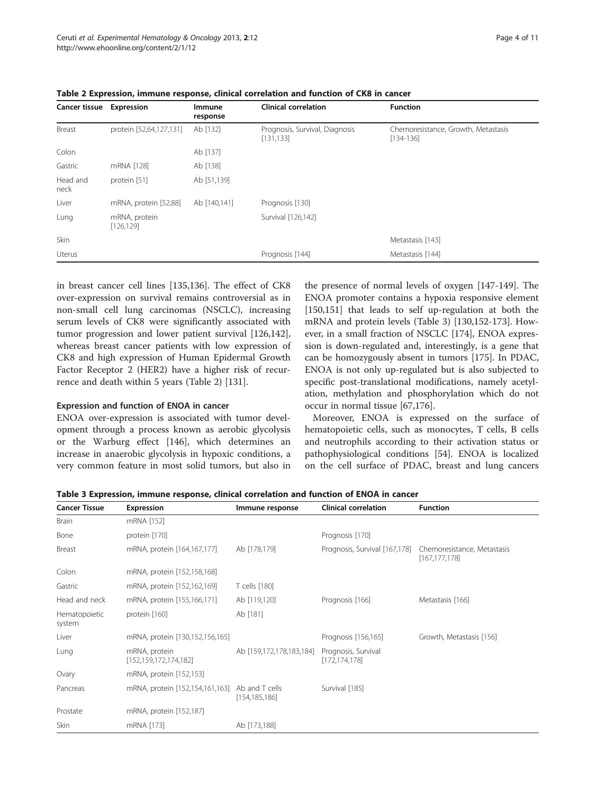| <b>Cancer tissue</b> | Expression                  | Immune<br>response | <b>Clinical correlation</b>                  | <b>Function</b>                                    |
|----------------------|-----------------------------|--------------------|----------------------------------------------|----------------------------------------------------|
| Breast               | protein [52,64,127,131]     | Ab [132]           | Prognosis, Survival, Diagnosis<br>[131, 133] | Chemoresistance, Growth, Metastasis<br>$[134-136]$ |
| Colon                |                             | Ab [137]           |                                              |                                                    |
| Gastric              | mRNA [128]                  | Ab [138]           |                                              |                                                    |
| Head and<br>neck     | protein [51]                | Ab [51,139]        |                                              |                                                    |
| Liver                | mRNA, protein [52,88]       | Ab [140,141]       | Prognosis [130]                              |                                                    |
| Lung                 | mRNA, protein<br>[126, 129] |                    | Survival [126,142]                           |                                                    |
| <b>Skin</b>          |                             |                    |                                              | Metastasis [143]                                   |
| Uterus               |                             |                    | Prognosis [144]                              | Metastasis [144]                                   |

<span id="page-3-0"></span>Table 2 Expression, immune response, clinical correlation and function of CK8 in cancer

in breast cancer cell lines [[135,136](#page-8-0)]. The effect of CK8 over-expression on survival remains controversial as in non-small cell lung carcinomas (NSCLC), increasing serum levels of CK8 were significantly associated with tumor progression and lower patient survival [[126,142](#page-8-0)], whereas breast cancer patients with low expression of CK8 and high expression of Human Epidermal Growth Factor Receptor 2 (HER2) have a higher risk of recurrence and death within 5 years (Table 2) [\[131\]](#page-8-0).

# Expression and function of ENOA in cancer

ENOA over-expression is associated with tumor development through a process known as aerobic glycolysis or the Warburg effect [\[146](#page-9-0)], which determines an increase in anaerobic glycolysis in hypoxic conditions, a very common feature in most solid tumors, but also in

the presence of normal levels of oxygen [\[147-149](#page-9-0)]. The ENOA promoter contains a hypoxia responsive element [[150,151](#page-9-0)] that leads to self up-regulation at both the mRNA and protein levels (Table 3) [[130,](#page-8-0)[152-173\]](#page-9-0). However, in a small fraction of NSCLC [\[174](#page-9-0)], ENOA expression is down-regulated and, interestingly, is a gene that can be homozygously absent in tumors [\[175](#page-9-0)]. In PDAC, ENOA is not only up-regulated but is also subjected to specific post-translational modifications, namely acetylation, methylation and phosphorylation which do not occur in normal tissue [[67,](#page-7-0)[176\]](#page-9-0).

Moreover, ENOA is expressed on the surface of hematopoietic cells, such as monocytes, T cells, B cells and neutrophils according to their activation status or pathophysiological conditions [\[54](#page-6-0)]. ENOA is localized on the cell surface of PDAC, breast and lung cancers

Table 3 Expression, immune response, clinical correlation and function of ENOA in cancer

| <b>Cancer Tissue</b>    | Expression                                 | Immune response                   | <b>Clinical correlation</b>            | <b>Function</b>                                |
|-------------------------|--------------------------------------------|-----------------------------------|----------------------------------------|------------------------------------------------|
| <b>Brain</b>            | mRNA [152]                                 |                                   |                                        |                                                |
| Bone                    | protein [170]                              |                                   | Prognosis [170]                        |                                                |
| Breast                  | mRNA, protein [164,167,177]                | Ab [178,179]                      | Prognosis, Survival [167,178]          | Chemoresistance, Metastasis<br>[167, 177, 178] |
| Colon                   | mRNA, protein [152,158,168]                |                                   |                                        |                                                |
| Gastric                 | mRNA, protein [152,162,169]                | T cells [180]                     |                                        |                                                |
| Head and neck           | mRNA, protein [155,166,171]                | Ab [119,120]                      | Prognosis [166]                        | Metastasis [166]                               |
| Hematopoietic<br>system | protein [160]                              | Ab [181]                          |                                        |                                                |
| Liver                   | mRNA, protein [130,152,156,165]            |                                   | Prognosis [156,165]                    | Growth, Metastasis [156]                       |
| Lung                    | mRNA, protein<br>[152, 159, 172, 174, 182] | Ab [159,172,178,183,184]          | Prognosis, Survival<br>[172, 174, 178] |                                                |
| Ovary                   | mRNA, protein [152,153]                    |                                   |                                        |                                                |
| Pancreas                | mRNA, protein [152,154,161,163]            | Ab and T cells<br>[154, 185, 186] | Survival [185]                         |                                                |
| Prostate                | mRNA, protein [152,187]                    |                                   |                                        |                                                |
| Skin                    | mRNA [173]                                 | Ab [173,188]                      |                                        |                                                |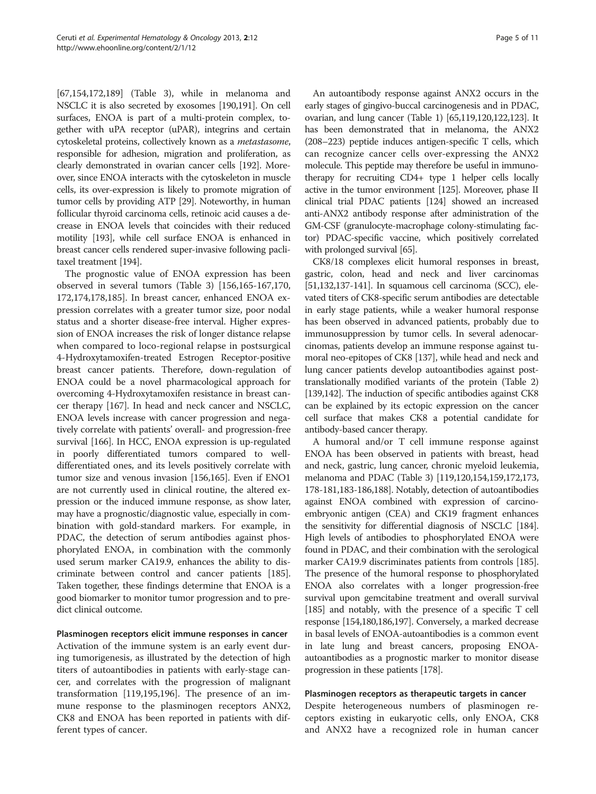[[67,](#page-7-0)[154,172](#page-9-0),[189](#page-10-0)] (Table [3](#page-3-0)), while in melanoma and NSCLC it is also secreted by exosomes [[190,191](#page-10-0)]. On cell surfaces, ENOA is part of a multi-protein complex, together with uPA receptor (uPAR), integrins and certain cytoskeletal proteins, collectively known as a metastasome, responsible for adhesion, migration and proliferation, as clearly demonstrated in ovarian cancer cells [\[192](#page-10-0)]. Moreover, since ENOA interacts with the cytoskeleton in muscle cells, its over-expression is likely to promote migration of tumor cells by providing ATP [[29](#page-6-0)]. Noteworthy, in human follicular thyroid carcinoma cells, retinoic acid causes a decrease in ENOA levels that coincides with their reduced motility [\[193\]](#page-10-0), while cell surface ENOA is enhanced in breast cancer cells rendered super-invasive following paclitaxel treatment [\[194\]](#page-10-0).

The prognostic value of ENOA expression has been observed in several tumors (Table [3\)](#page-3-0) [[156](#page-9-0),[165](#page-9-0)-[167,170](#page-9-0), [172](#page-9-0),[174,178](#page-9-0)[,185](#page-10-0)]. In breast cancer, enhanced ENOA expression correlates with a greater tumor size, poor nodal status and a shorter disease-free interval. Higher expression of ENOA increases the risk of longer distance relapse when compared to loco-regional relapse in postsurgical 4-Hydroxytamoxifen-treated Estrogen Receptor-positive breast cancer patients. Therefore, down-regulation of ENOA could be a novel pharmacological approach for overcoming 4-Hydroxytamoxifen resistance in breast cancer therapy [\[167\]](#page-9-0). In head and neck cancer and NSCLC, ENOA levels increase with cancer progression and negatively correlate with patients' overall- and progression-free survival [[166](#page-9-0)]. In HCC, ENOA expression is up-regulated in poorly differentiated tumors compared to welldifferentiated ones, and its levels positively correlate with tumor size and venous invasion [[156,165\]](#page-9-0). Even if ENO1 are not currently used in clinical routine, the altered expression or the induced immune response, as show later, may have a prognostic/diagnostic value, especially in combination with gold-standard markers. For example, in PDAC, the detection of serum antibodies against phosphorylated ENOA, in combination with the commonly used serum marker CA19.9, enhances the ability to discriminate between control and cancer patients [[185](#page-10-0)]. Taken together, these findings determine that ENOA is a good biomarker to monitor tumor progression and to predict clinical outcome.

Plasminogen receptors elicit immune responses in cancer Activation of the immune system is an early event during tumorigenesis, as illustrated by the detection of high titers of autoantibodies in patients with early-stage cancer, and correlates with the progression of malignant transformation [\[119,](#page-8-0)[195,196\]](#page-10-0). The presence of an immune response to the plasminogen receptors ANX2, CK8 and ENOA has been reported in patients with different types of cancer.

An autoantibody response against ANX2 occurs in the early stages of gingivo-buccal carcinogenesis and in PDAC, ovarian, and lung cancer (Table [1\)](#page-2-0) [\[65,](#page-7-0)[119,120,122,123\]](#page-8-0). It has been demonstrated that in melanoma, the ANX2 (208–223) peptide induces antigen-specific T cells, which can recognize cancer cells over-expressing the ANX2 molecule. This peptide may therefore be useful in immunotherapy for recruiting CD4+ type 1 helper cells locally active in the tumor environment [\[125](#page-8-0)]. Moreover, phase II clinical trial PDAC patients [[124\]](#page-8-0) showed an increased anti-ANX2 antibody response after administration of the GM-CSF (granulocyte-macrophage colony-stimulating factor) PDAC-specific vaccine, which positively correlated with prolonged survival [[65](#page-7-0)].

CK8/18 complexes elicit humoral responses in breast, gastric, colon, head and neck and liver carcinomas [[51](#page-6-0)[,132,137-141\]](#page-8-0). In squamous cell carcinoma (SCC), elevated titers of CK8-specific serum antibodies are detectable in early stage patients, while a weaker humoral response has been observed in advanced patients, probably due to immunosuppression by tumor cells. In several adenocarcinomas, patients develop an immune response against tumoral neo-epitopes of CK8 [[137](#page-8-0)], while head and neck and lung cancer patients develop autoantibodies against posttranslationally modified variants of the protein (Table [2](#page-3-0)) [[139,142](#page-8-0)]. The induction of specific antibodies against CK8 can be explained by its ectopic expression on the cancer cell surface that makes CK8 a potential candidate for antibody-based cancer therapy.

A humoral and/or T cell immune response against ENOA has been observed in patients with breast, head and neck, gastric, lung cancer, chronic myeloid leukemia, melanoma and PDAC (Table [3](#page-3-0)) [\[119,120](#page-8-0)[,154,159,172,173](#page-9-0), [178](#page-9-0)-[181,183](#page-9-0)[-186,188](#page-10-0)]. Notably, detection of autoantibodies against ENOA combined with expression of carcinoembryonic antigen (CEA) and CK19 fragment enhances the sensitivity for differential diagnosis of NSCLC [\[184](#page-10-0)]. High levels of antibodies to phosphorylated ENOA were found in PDAC, and their combination with the serological marker CA19.9 discriminates patients from controls [\[185](#page-10-0)]. The presence of the humoral response to phosphorylated ENOA also correlates with a longer progression-free survival upon gemcitabine treatment and overall survival [[185](#page-10-0)] and notably, with the presence of a specific T cell response [\[154,180,](#page-9-0)[186,197](#page-10-0)]. Conversely, a marked decrease in basal levels of ENOA-autoantibodies is a common event in late lung and breast cancers, proposing ENOAautoantibodies as a prognostic marker to monitor disease progression in these patients [\[178](#page-9-0)].

# Plasminogen receptors as therapeutic targets in cancer

Despite heterogeneous numbers of plasminogen receptors existing in eukaryotic cells, only ENOA, CK8 and ANX2 have a recognized role in human cancer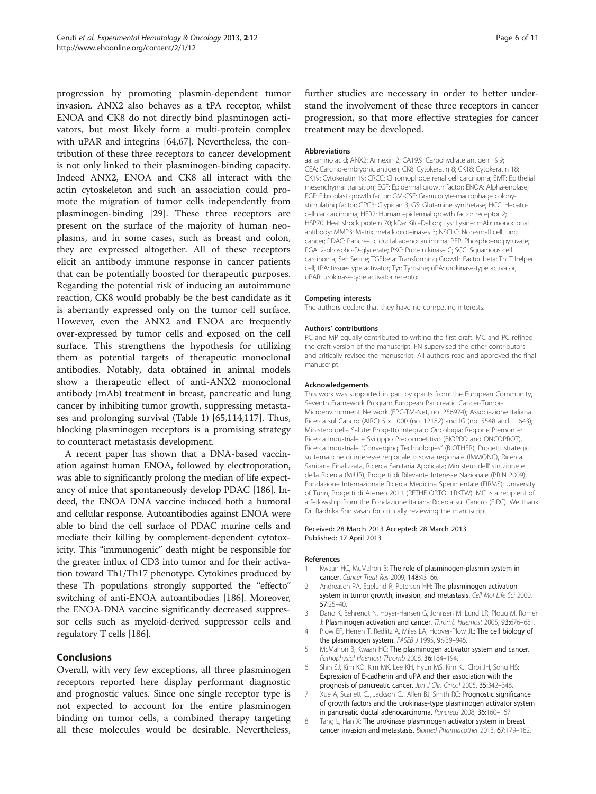<span id="page-5-0"></span>progression by promoting plasmin-dependent tumor invasion. ANX2 also behaves as a tPA receptor, whilst ENOA and CK8 do not directly bind plasminogen activators, but most likely form a multi-protein complex with uPAR and integrins [[64](#page-7-0),[67](#page-7-0)]. Nevertheless, the contribution of these three receptors to cancer development is not only linked to their plasminogen-binding capacity. Indeed ANX2, ENOA and CK8 all interact with the actin cytoskeleton and such an association could promote the migration of tumor cells independently from plasminogen-binding [[29\]](#page-6-0). These three receptors are present on the surface of the majority of human neoplasms, and in some cases, such as breast and colon, they are expressed altogether. All of these receptors elicit an antibody immune response in cancer patients that can be potentially boosted for therapeutic purposes. Regarding the potential risk of inducing an autoimmune reaction, CK8 would probably be the best candidate as it is aberrantly expressed only on the tumor cell surface. However, even the ANX2 and ENOA are frequently over-expressed by tumor cells and exposed on the cell surface. This strengthens the hypothesis for utilizing them as potential targets of therapeutic monoclonal antibodies. Notably, data obtained in animal models show a therapeutic effect of anti-ANX2 monoclonal antibody (mAb) treatment in breast, pancreatic and lung cancer by inhibiting tumor growth, suppressing metastases and prolonging survival (Table [1\)](#page-2-0) [\[65](#page-7-0)[,114,117\]](#page-8-0). Thus, blocking plasminogen receptors is a promising strategy to counteract metastasis development.

A recent paper has shown that a DNA-based vaccination against human ENOA, followed by electroporation, was able to significantly prolong the median of life expectancy of mice that spontaneously develop PDAC [[186](#page-10-0)]. Indeed, the ENOA DNA vaccine induced both a humoral and cellular response. Autoantibodies against ENOA were able to bind the cell surface of PDAC murine cells and mediate their killing by complement-dependent cytotoxicity. This "immunogenic" death might be responsible for the greater influx of CD3 into tumor and for their activation toward Th1/Th17 phenotype. Cytokines produced by these Th populations strongly supported the "effecto" switching of anti-ENOA autoantibodies [\[186\]](#page-10-0). Moreover, the ENOA-DNA vaccine significantly decreased suppressor cells such as myeloid-derived suppressor cells and regulatory T cells [\[186](#page-10-0)].

# Conclusions

Overall, with very few exceptions, all three plasminogen receptors reported here display performant diagnostic and prognostic values. Since one single receptor type is not expected to account for the entire plasminogen binding on tumor cells, a combined therapy targeting all these molecules would be desirable. Nevertheless, further studies are necessary in order to better understand the involvement of these three receptors in cancer progression, so that more effective strategies for cancer treatment may be developed.

#### Abbreviations

aa: amino acid; ANX2: Annexin 2; CA19.9: Carbohydrate antigen 19.9; CEA: Carcino-embryonic antigen; CK8: Cytokeratin 8; CK18: Cytokeratin 18; CK19: Cytokeratin 19; CRCC: Chromophobe renal cell carcinoma; EMT: Epithelial mesenchymal transition; EGF: Epidermal growth factor; ENOA: Alpha-enolase; FGF: Fibroblast growth factor; GM-CSF: Granulocyte-macrophage colonystimulating factor; GPC3: Glypican 3; GS: Glutamine synthetase; HCC: Hepatocellular carcinoma; HER2: Human epidermal growth factor receptor 2; HSP70: Heat shock protein 70; kDa: Kilo-Dalton; Lys: Lysine; mAb: monoclonal antibody; MMP3: Matrix metalloproteinases 3; NSCLC: Non-small cell lung cancer; PDAC: Pancreatic ductal adenocarcinoma; PEP: Phosphoenolpyruvate; PGA: 2-phospho-D-glycerate; PKC: Protein kinase C; SCC: Squamous cell carcinoma; Ser: Serine; TGFbeta: Transforming Growth Factor beta; Th: T helper cell; tPA: tissue-type activator; Tyr: Tyrosine; uPA: urokinase-type activator; uPAR: urokinase-type activator receptor.

#### Competing interests

The authors declare that they have no competing interests.

#### Authors' contributions

PC and MP equally contributed to writing the first draft. MC and PC refined the draft version of the manuscript. FN supervised the other contributors and critically revised the manuscript. All authors read and approved the final manuscript.

#### Acknowledgements

This work was supported in part by grants from: the European Community, Seventh Framework Program European Pancreatic Cancer-Tumor-Microenvironment Network (EPC-TM-Net, no. 256974); Associazione Italiana Ricerca sul Cancro (AIRC) 5 x 1000 (no. 12182) and IG (no. 5548 and 11643); Ministero della Salute: Progetto Integrato Oncologia; Regione Piemonte: Ricerca Industriale e Sviluppo Precompetitivo (BIOPRO and ONCOPROT), Ricerca Industriale "Converging Technologies" (BIOTHER), Progetti strategici su tematiche di interesse regionale o sovra regionale (IMMONC), Ricerca Sanitaria Finalizzata, Ricerca Sanitaria Applicata; Ministero dell'Istruzione e della Ricerca (MIUR), Progetti di Rilevante Interesse Nazionale (PRIN 2009); Fondazione Internazionale Ricerca Medicina Sperimentale (FIRMS); University of Turin, Progetti di Ateneo 2011 (RETHE ORTO11RKTW). MC is a recipient of a fellowship from the Fondazione Italiana Ricerca sul Cancro (FIRC). We thank Dr. Radhika Srinivasan for critically reviewing the manuscript.

#### Received: 28 March 2013 Accepted: 28 March 2013 Published: 17 April 2013

#### References

- Kwaan HC, McMahon B: The role of plasminogen-plasmin system in cancer. Cancer Treat Res 2009, 148:43–66.
- 2. Andreasen PA, Egelund R, Petersen HH: The plasminogen activation system in tumor growth, invasion, and metastasis. Cell Mol Life Sci 2000, 57:25–40.
- 3. Dano K, Behrendt N, Hoyer-Hansen G, Johnsen M, Lund LR, Ploug M, Romer J: Plasminogen activation and cancer. Thromb Haemost 2005, 93:676-681.
- 4. Plow EF, Herren T, Redlitz A, Miles LA, Hoover-Plow JL: The cell biology of the plasminogen system. FASEB J 1995, 9:939-945.
- 5. McMahon B, Kwaan HC: The plasminogen activator system and cancer. Pathophysiol Haemost Thromb 2008, 36:184-194.
- 6. Shin SJ, Kim KO, Kim MK, Lee KH, Hyun MS, Kim KJ, Choi JH, Song HS: Expression of E-cadherin and uPA and their association with the prognosis of pancreatic cancer. Jpn J Clin Oncol 2005, 35:342-348.
- 7. Xue A, Scarlett CJ, Jackson CJ, Allen BJ, Smith RC: Prognostic significance of growth factors and the urokinase-type plasminogen activator system in pancreatic ductal adenocarcinoma. Pancreas 2008, 36:160–167.
- 8. Tang L, Han X: The urokinase plasminogen activator system in breast cancer invasion and metastasis. Biomed Pharmacother 2013, 67:179–182.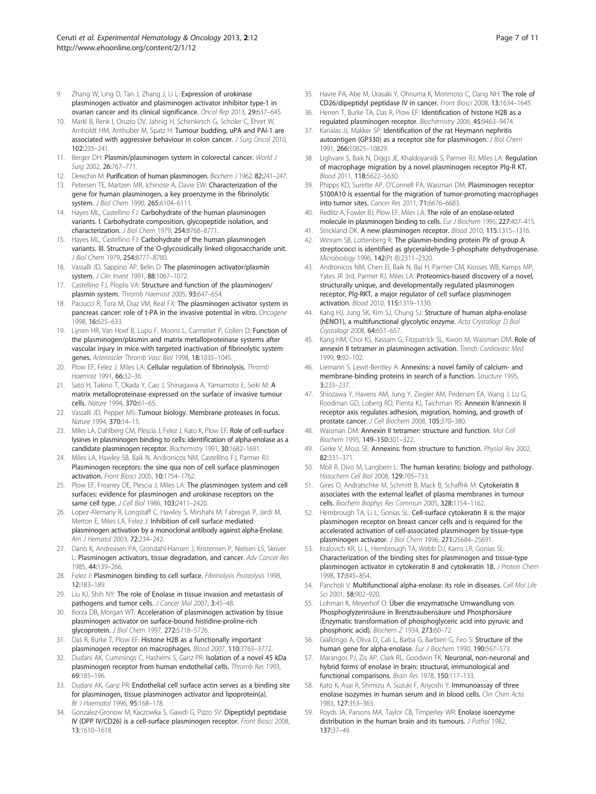- <span id="page-6-0"></span>9. Zhang W, Ling D, Tan J, Zhang J, Li L: Expression of urokinase plasminogen activator and plasminogen activator inhibitor type-1 in ovarian cancer and its clinical significance. Oncol Rep 2013, 29:637–645.
- 10. Markl B, Renk I, Oruzio DV, Jahnig H, Schenkirsch G, Scholer C, Ehret W, Arnholdt HM, Anthuber M, Spatz H: Tumour budding, uPA and PAI-1 are associated with aggressive behaviour in colon cancer. J Surg Oncol 2010, 102:235–241.
- 11. Berger DH: Plasmin/plasminogen system in colorectal cancer. World J Surg 2002, 26:767–771.
- 12. Derechin M: Purification of human plasminogen. Biochem J 1962, 82:241-247.
- 13. Petersen TE, Martzen MR, Ichinose A, Davie EW: Characterization of the gene for human plasminogen, a key proenzyme in the fibrinolytic system. J Biol Chem 1990, 265:6104-6111.
- 14. Hayes ML, Castellino FJ: Carbohydrate of the human plasminogen variants. I. Carbohydrate composition, glycopeptide isolation, and characterization. J Biol Chem 1979, 254:8768–8771.
- 15. Hayes ML, Castellino FJ: Carbohydrate of the human plasminogen variants. III. Structure of the O-glycosidically linked oligosaccharide unit. J Biol Chem 1979, 254:8777–8780.
- 16. Vassalli JD, Sappino AP, Belin D: The plasminogen activator/plasmin system. J Clin Invest 1991, 88:1067–1072.
- 17. Castellino FJ, Ploplis VA: Structure and function of the plasminogen/ plasmin system. Thromb Haemost 2005, 93:647–654.
- 18. Paciucci R, Tora M, Diaz VM, Real FX: The plasminogen activator system in pancreas cancer: role of t-PA in the invasive potential in vitro. Oncogene 1998, 16:625–633.
- 19. Lijnen HR, Van Hoef B, Lupu F, Moons L, Carmeliet P, Collen D: Function of the plasminogen/plasmin and matrix metalloproteinase systems after vascular injury in mice with targeted inactivation of fibrinolytic system genes. Arterioscler Thromb Vasc Biol 1998, 18:1035–1045.
- 20. Plow EF, Felez J, Miles LA: Cellular regulation of fibrinolysis. Thromb Haemost 1991, 66:32–36.
- 21. Sato H, Takino T, Okada Y, Cao J, Shinagawa A, Yamamoto E, Seiki M: A matrix metalloproteinase expressed on the surface of invasive tumour cells. Nature 1994, 370:61–65.
- 22. Vassalli JD, Pepper MS: Tumour biology. Membrane proteases in focus. Nature 1994, 370:14–15.
- 23. Miles LA, Dahlberg CM, Plescia J, Felez J, Kato K, Plow EF: Role of cell-surface lysines in plasminogen binding to cells: identification of alpha-enolase as a candidate plasminogen receptor. Biochemistry 1991, 30:1682-1691.
- 24. Miles LA, Hawley SB, Baik N, Andronicos NM, Castellino FJ, Parmer RJ: Plasminogen receptors: the sine qua non of cell surface plasminogen activation. Front Biosci 2005, 10:1754–1762.
- 25. Plow EF, Freaney DE, Plescia J, Miles LA: The plasminogen system and cell surfaces: evidence for plasminogen and urokinase receptors on the same cell type. J Cell Biol 1986, 103:2411-2420.
- 26. Lopez-Alemany R, Longstaff C, Hawley S, Mirshahi M, Fabregas P, Jardi M, Merton E, Miles LA, Felez J: Inhibition of cell surface mediated plasminogen activation by a monoclonal antibody against alpha-Enolase. Am J Hematol 2003, 72:234-242.
- 27. Dano K, Andreasen PA, Grondahl-Hansen J, Kristensen P, Nielsen LS, Skriver L: Plasminogen activators, tissue degradation, and cancer. Adv Cancer Res 1985, 44:139–266.
- 28. Felez J: Plasminogen binding to cell surface. Fibrinolysis Proteolysis 1998, 12:183–189.
- 29. Liu KJ, Shih NY: The role of Enolase in tissue invasion and metastasis of pathogens and tumor cells. J Cancer Mol 2007, 3:45-48.
- 30. Borza DB, Morgan WT: Acceleration of plasminogen activation by tissue plasminogen activator on surface-bound histidine-proline-rich glycoprotein. J Biol Chem 1997, 272:5718–5726.
- 31. Das R, Burke T, Plow EF: Histone H2B as a functionally important plasminogen receptor on macrophages. Blood 2007, 110:3763–3772.
- 32. Dudani AK, Cummings C, Hashemi S, Ganz PR: Isolation of a novel 45 kDa plasminogen receptor from human endothelial cells. Thromb Res 1993, 69:185–196.
- 33. Dudani AK, Ganz PR: Endothelial cell surface actin serves as a binding site for plasminogen, tissue plasminogen activator and lipoprotein(a). Br J Haematol 1996, 95:168–178.
- 34. Gonzalez-Gronow M, Kaczowka S, Gawdi G, Pizzo SV: Dipeptidyl peptidase IV (DPP IV/CD26) is a cell-surface plasminogen receptor. Front Biosci 2008, 13:1610–1618.
- 35. Havre PA, Abe M, Urasaki Y, Ohnuma K, Morimoto C, Dang NH: The role of CD26/dipeptidyl peptidase IV in cancer. Front Biosci 2008, 13:1634–1645.
- 36. Herren T, Burke TA, Das R, Plow EF: Identification of histone H2B as a regulated plasminogen receptor. Biochemistry 2006, 45:9463-9474.
- 37. Kanalas JJ, Makker SP: Identification of the rat Heymann nephritis autoantigen (GP330) as a receptor site for plasminogen. J Biol Chem 1991, 266:10825–10829.
- 38. Lighvani S, Baik N, Diggs JE, Khaldoyanidi S, Parmer RJ, Miles LA: Regulation of macrophage migration by a novel plasminogen receptor Plg-R KT. Blood 2011, 118:5622–5630.
- 39. Phipps KD, Surette AP, O'Connell PA, Waisman DM: Plasminogen receptor S100A10 is essential for the migration of tumor-promoting macrophages into tumor sites. Cancer Res 2011, 71:6676–6683.
- 40. Redlitz A, Fowler BJ, Plow EF, Miles LA: The role of an enolase-related molecule in plasminogen binding to cells. Eur J Biochem 1995, 227:407-415.
- 41. Strickland DK: A new plasminogen receptor. Blood 2010, 115:1315–1316.
- 42. Winram SB, Lottenberg R: The plasmin-binding protein Plr of group A streptococci is identified as glyceraldehyde-3-phosphate dehydrogenase. Microbiology 1996, 142(Pt 8):2311–2320.
- 43. Andronicos NM, Chen EI, Baik N, Bai H, Parmer CM, Kiosses WB, Kamps MP, Yates JR 3rd, Parmer RJ, Miles LA: Proteomics-based discovery of a novel, structurally unique, and developmentally regulated plasminogen receptor, Plg-RKT, a major regulator of cell surface plasminogen activation. Blood 2010, 115:1319–1330.
- 44. Kang HJ, Jung SK, Kim SJ, Chung SJ: Structure of human alpha-enolase (hENO1), a multifunctional glycolytic enzyme. Acta Crystallogr D Biol Crystallogr 2008, 64:651–657.
- 45. Kang HM, Choi KS, Kassam G, Fitzpatrick SL, Kwon M, Waisman DM: Role of annexin II tetramer in plasminogen activation. Trends Cardiovasc Med 1999, 9:92–102.
- 46. Liemann S, Lewit-Bentley A: Annexins: a novel family of calcium- and membrane-binding proteins in search of a function. Structure 1995,  $3.233 - 237$
- 47. Shiozawa Y, Havens AM, Jung Y, Ziegler AM, Pedersen EA, Wang J, Lu G, Roodman GD, Loberg RD, Pienta KJ, Taichman RS: Annexin II/annexin II receptor axis regulates adhesion, migration, homing, and growth of prostate cancer. J Cell Biochem 2008, 105:370–380.
- 48. Waisman DM: Annexin II tetramer: structure and function. Mol Cell Biochem 1995, 149–150:301–322.
- 49. Gerke V, Moss SE: Annexins: from structure to function. Physiol Rev 2002, 82:331–371.
- 50. Moll R, Divo M, Langbein L: The human keratins: biology and pathology. Histochem Cell Biol 2008, 129:705–733.
- 51. Gires O, Andratschke M, Schmitt B, Mack B, Schaffrik M: Cytokeratin 8 associates with the external leaflet of plasma membranes in tumour cells. Biochem Biophys Res Commun 2005, 328:1154–1162.
- 52. Hembrough TA, Li L, Gonias SL: Cell-surface cytokeratin 8 is the major plasminogen receptor on breast cancer cells and is required for the accelerated activation of cell-associated plasminogen by tissue-type plasminogen activator. J Biol Chem 1996, 271:25684–25691.
- 53. Kralovich KR, Li L, Hembrough TA, Webb DJ, Karns LR, Gonias SL: Characterization of the binding sites for plasminogen and tissue-type plasminogen activator in cytokeratin 8 and cytokeratin 18. J Protein Chem 1998, 17:845–854.
- 54. Pancholi V: Multifunctional alpha-enolase: its role in diseases. Cell Mol Life Sci 2001, 58:902–920.
- 55. Lohman K, Meyerhof O: Über die enzymatische Umwandlung von Phosphoglyzerinsäure in Brenztraubensäure und Phosphorsäure (Enzymatic transformation of phosphoglyceric acid into pyruvic and phosphoric acid). Biochem Z 1934, 273:60–72.
- Giallongo A, Oliva D, Cali L, Barba G, Barbieri G, Feo S: Structure of the human gene for alpha-enolase. Eur J Biochem 1990, 190:567-573.
- 57. Marangos PJ, Zis AP, Clark RL, Goodwin FK: Neuronal, non-neuronal and hybrid forms of enolase in brain: structural, immunological and functional comparisons. Brain Res 1978, 150:117–133.
- Kato K, Asai R, Shimizu A, Suzuki F, Ariyoshi Y: Immunoassay of three enolase isozymes in human serum and in blood cells. Clin Chim Acta 1983, 127:353–363.
- 59. Royds JA, Parsons MA, Taylor CB, Timperley WR: Enolase isoenzyme distribution in the human brain and its tumours. J Pathol 1982, 137:37–49.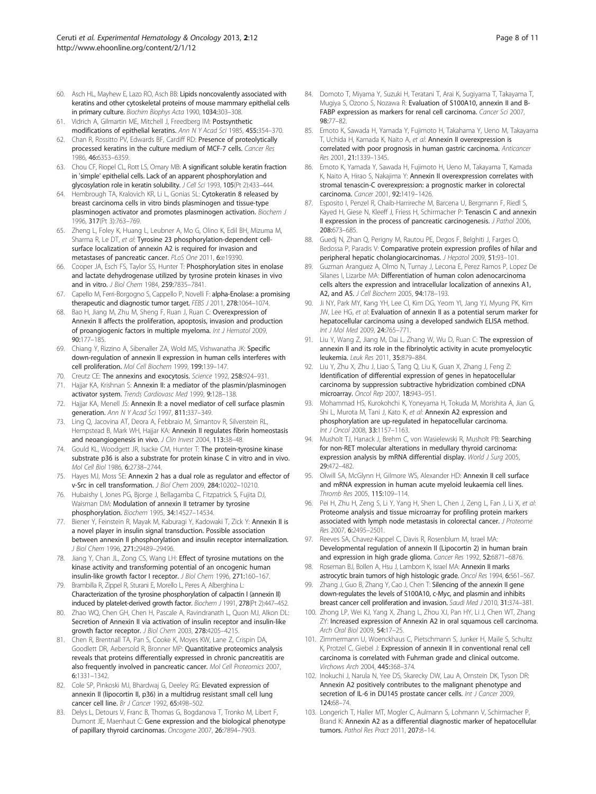- <span id="page-7-0"></span>60. Asch HL, Mayhew E, Lazo RO, Asch BB: Lipids noncovalently associated with keratins and other cytoskeletal proteins of mouse mammary epithelial cells in primary culture. Biochim Biophys Acta 1990, 1034:303–308.
- 61. Vidrich A, Gilmartin ME, Mitchell J, Freedberg IM: Postsynthetic modifications of epithelial keratins. Ann N Y Acad Sci 1985, 455:354–370.
- 62. Chan R, Rossitto PV, Edwards BF, Cardiff RD: Presence of proteolytically processed keratins in the culture medium of MCF-7 cells. Cancer Res 1986, 46:6353–6359.
- 63. Chou CF, Riopel CL, Rott LS, Omary MB: A significant soluble keratin fraction in 'simple' epithelial cells. Lack of an apparent phosphorylation and glycosylation role in keratin solubility. J Cell Sci 1993, 105(Pt 2):433-444
- 64. Hembrough TA, Kralovich KR, Li L, Gonias SL: Cytokeratin 8 released by breast carcinoma cells in vitro binds plasminogen and tissue-type plasminogen activator and promotes plasminogen activation. Biochem J 1996, 317(Pt 3):763–769.
- 65. Zheng L, Foley K, Huang L, Leubner A, Mo G, Olino K, Edil BH, Mizuma M, Sharma R, Le DT, et al: Tyrosine 23 phosphorylation-dependent cellsurface localization of annexin A2 is required for invasion and metastases of pancreatic cancer. PLoS One 2011, 6:e19390.
- 66. Cooper JA, Esch FS, Taylor SS, Hunter T: Phosphorylation sites in enolase and lactate dehydrogenase utilized by tyrosine protein kinases in vivo and in vitro. *J Biol Chem* 1984, 259:7835-7841.
- 67. Capello M, Ferri-Borgogno S, Cappello P, Novelli F: alpha-Enolase: a promising therapeutic and diagnostic tumor target. FEBS J 2011, 278:1064-1074.
- Bao H, Jiang M, Zhu M, Sheng F, Ruan J, Ruan C: Overexpression of Annexin II affects the proliferation, apoptosis, invasion and production of proangiogenic factors in multiple myeloma. Int J Hematol 2009, 90:177–185.
- 69. Chiang Y, Rizzino A, Sibenaller ZA, Wold MS, Vishwanatha JK: Specific down-regulation of annexin II expression in human cells interferes with cell proliferation. Mol Cell Biochem 1999, 199:139–147.
- 70. Creutz CE: The annexins and exocytosis. Science 1992, 258:924–931.
- 71. Hajjar KA, Krishnan S: Annexin II: a mediator of the plasmin/plasminogen activator system. Trends Cardiovasc Med 1999, 9:128–138.
- 72. Hajjar KA, Menell JS: Annexin II: a novel mediator of cell surface plasmin generation. Ann N Y Acad Sci 1997, 811:337–349.
- 73. Ling Q, Jacovina AT, Deora A, Febbraio M, Simantov R, Silverstein RL, Hempstead B, Mark WH, Hajjar KA: Annexin II regulates fibrin homeostasis and neoangiogenesis in vivo. J Clin Invest 2004, 113:38-48.
- 74. Gould KL, Woodgett JR, Isacke CM, Hunter T: The protein-tyrosine kinase substrate p36 is also a substrate for protein kinase C in vitro and in vivo. Mol Cell Biol 1986, 6:2738–2744.
- 75. Hayes MJ, Moss SE: Annexin 2 has a dual role as regulator and effector of v-Src in cell transformation. J Biol Chem 2009, 284:10202–10210.
- 76. Hubaishy I, Jones PG, Bjorge J, Bellagamba C, Fitzpatrick S, Fujita DJ, Waisman DM: Modulation of annexin II tetramer by tyrosine phosphorylation. Biochem 1995, 34:14527–14534.
- 77. Biener Y, Feinstein R, Mayak M, Kaburagi Y, Kadowaki T, Zick Y: Annexin II is a novel player in insulin signal transduction. Possible association between annexin II phosphorylation and insulin receptor internalization. J Biol Chem 1996, 271:29489–29496.
- 78. Jiang Y, Chan JL, Zong CS, Wang LH: Effect of tyrosine mutations on the kinase activity and transforming potential of an oncogenic human insulin-like growth factor I receptor. J Biol Chem 1996, 271:160–167.
- 79. Brambilla R, Zippel R, Sturani E, Morello L, Peres A, Alberghina L: Characterization of the tyrosine phosphorylation of calpactin I (annexin II) induced by platelet-derived growth factor. Biochem J 1991, 278(Pt 2):447-452.
- 80. Zhao WQ, Chen GH, Chen H, Pascale A, Ravindranath L, Quon MJ, Alkon DL: Secretion of Annexin II via activation of insulin receptor and insulin-like growth factor receptor. J Biol Chem 2003, 278:4205–4215.
- 81. Chen R, Brentnall TA, Pan S, Cooke K, Moyes KW, Lane Z, Crispin DA, Goodlett DR, Aebersold R, Bronner MP: Quantitative proteomics analysis reveals that proteins differentially expressed in chronic pancreatitis are also frequently involved in pancreatic cancer. Mol Cell Proteomics 2007, 6:1331–1342.
- 82. Cole SP, Pinkoski MJ, Bhardwaj G, Deeley RG: Elevated expression of annexin II (lipocortin II, p36) in a multidrug resistant small cell lung cancer cell line. Br J Cancer 1992, 65:498–502.
- 83. Delys L, Detours V, Franc B, Thomas G, Bogdanova T, Tronko M, Libert F, Dumont JE, Maenhaut C: Gene expression and the biological phenotype of papillary thyroid carcinomas. Oncogene 2007, 26:7894–7903.
- 84. Domoto T, Miyama Y, Suzuki H, Teratani T, Arai K, Sugiyama T, Takayama T, Mugiya S, Ozono S, Nozawa R: Evaluation of S100A10, annexin II and B-FABP expression as markers for renal cell carcinoma. Cancer Sci 2007, 98:77–82.
- 85. Emoto K, Sawada H, Yamada Y, Fujimoto H, Takahama Y, Ueno M, Takayama T, Uchida H, Kamada K, Naito A, et al: Annexin II overexpression is correlated with poor prognosis in human gastric carcinoma. Anticancer Res 2001, 21:1339–1345.
- 86. Emoto K, Yamada Y, Sawada H, Fujimoto H, Ueno M, Takayama T, Kamada K, Naito A, Hirao S, Nakajima Y: Annexin II overexpression correlates with stromal tenascin-C overexpression: a prognostic marker in colorectal carcinoma. Cancer 2001, 92:1419–1426.
- 87. Esposito I, Penzel R, Chaib-Harrireche M, Barcena U, Bergmann F, Riedl S, Kayed H, Giese N, Kleeff J, Friess H, Schirmacher P: Tenascin C and annexin II expression in the process of pancreatic carcinogenesis. J Pathol 2006, 208:673–685.
- 88. Guedj N, Zhan Q, Perigny M, Rautou PE, Degos F, Belghiti J, Farges O, Bedossa P, Paradis V: Comparative protein expression profiles of hilar and peripheral hepatic cholangiocarcinomas. J Hepatol 2009, 51:93–101.
- 89. Guzman Aranguez A, Olmo N, Turnay J, Lecona E, Perez Ramos P, Lopez De Silanes I, Lizarbe MA: Differentiation of human colon adenocarcinoma cells alters the expression and intracellular localization of annexins A1, A2, and A5. J Cell Biochem 2005, 94:178–193.
- 90. Ji NY, Park MY, Kang YH, Lee CI, Kim DG, Yeom YI, Jang YJ, Myung PK, Kim JW, Lee HG, et al: Evaluation of annexin II as a potential serum marker for hepatocellular carcinoma using a developed sandwich ELISA method. Int J Mol Med 2009, 24:765–771.
- 91. Liu Y, Wang Z, Jiang M, Dai L, Zhang W, Wu D, Ruan C: The expression of annexin II and its role in the fibrinolytic activity in acute promyelocytic leukemia. Leuk Res 2011, 35:879–884.
- 92. Liu Y, Zhu X, Zhu J, Liao S, Tang Q, Liu K, Guan X, Zhang J, Feng Z: Identification of differential expression of genes in hepatocellular carcinoma by suppression subtractive hybridization combined cDNA microarray. Oncol Rep 2007, 18:943–951.
- 93. Mohammad HS, Kurokohchi K, Yoneyama H, Tokuda M, Morishita A, Jian G, Shi L, Murota M, Tani J, Kato K, et al: Annexin A2 expression and phosphorylation are up-regulated in hepatocellular carcinoma. Int J Oncol 2008, 33:1157–1163.
- Musholt TJ, Hanack J, Brehm C, von Wasielewski R, Musholt PB: Searching for non-RET molecular alterations in medullary thyroid carcinoma: expression analysis by mRNA differential display. World J Surg 2005, 29:472–482.
- 95. Olwill SA, McGlynn H, Gilmore WS, Alexander HD: Annexin II cell surface and mRNA expression in human acute myeloid leukaemia cell lines. Thromb Res 2005, 115:109–114.
- Pei H, Zhu H, Zeng S, Li Y, Yang H, Shen L, Chen J, Zeng L, Fan J, Li X, et al: Proteome analysis and tissue microarray for profiling protein markers associated with lymph node metastasis in colorectal cancer. J Proteome Res 2007, 6:2495–2501.
- 97. Reeves SA, Chavez-Kappel C, Davis R, Rosenblum M, Israel MA: Developmental regulation of annexin II (Lipocortin 2) in human brain and expression in high grade glioma. Cancer Res 1992, 52:6871–6876.
- Roseman BJ, Bollen A, Hsu J, Lamborn K, Israel MA: Annexin II marks astrocytic brain tumors of high histologic grade. Oncol Res 1994, 6:561–567.
- 99. Zhang J, Guo B, Zhang Y, Cao J, Chen T: Silencing of the annexin II gene down-regulates the levels of S100A10, c-Myc, and plasmin and inhibits breast cancer cell proliferation and invasion. Saudi Med J 2010, 31:374–381.
- 100. Zhong LP, Wei KJ, Yang X, Zhang L, Zhou XJ, Pan HY, Li J, Chen WT, Zhang ZY: Increased expression of Annexin A2 in oral squamous cell carcinoma. Arch Oral Biol 2009, 54:17–25.
- 101. Zimmermann U, Woenckhaus C, Pietschmann S, Junker H, Maile S, Schultz K, Protzel C, Giebel J: Expression of annexin II in conventional renal cell carcinoma is correlated with Fuhrman grade and clinical outcome. Virchows Arch 2004, 445:368–374.
- 102. Inokuchi J, Narula N, Yee DS, Skarecky DW, Lau A, Ornstein DK, Tyson DR: Annexin A2 positively contributes to the malignant phenotype and secretion of IL-6 in DU145 prostate cancer cells. Int J Cancer 2009, 124:68–74.
- 103. Longerich T, Haller MT, Mogler C, Aulmann S, Lohmann V, Schirmacher P, Brand K: Annexin A2 as a differential diagnostic marker of hepatocellular tumors. Pathol Res Pract 2011, 207:8-14.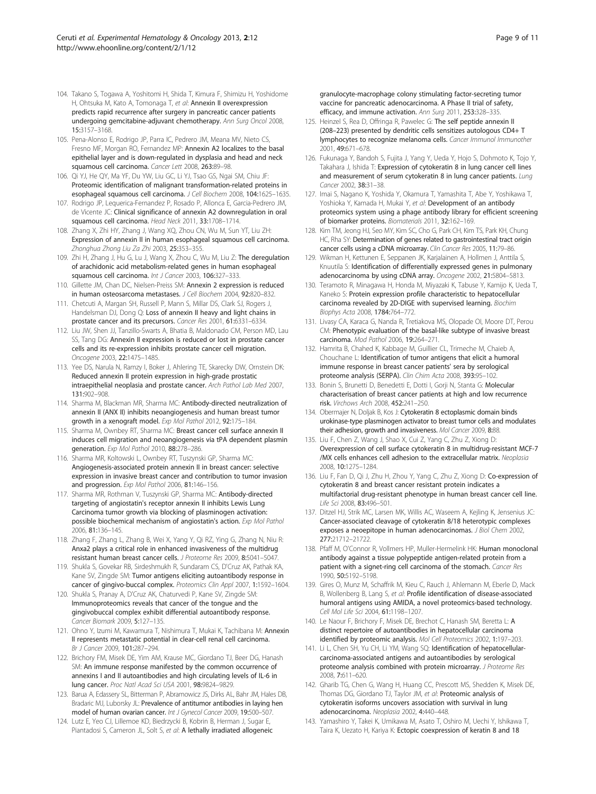- <span id="page-8-0"></span>104. Takano S, Togawa A, Yoshitomi H, Shida T, Kimura F, Shimizu H, Yoshidome H, Ohtsuka M, Kato A, Tomonaga T, et al: Annexin II overexpression predicts rapid recurrence after surgery in pancreatic cancer patients undergoing gemcitabine-adjuvant chemotherapy. Ann Surg Oncol 2008, 15:3157–3168.
- 105. Pena-Alonso E, Rodrigo JP, Parra IC, Pedrero JM, Meana MV, Nieto CS, Fresno MF, Morgan RO, Fernandez MP: Annexin A2 localizes to the basal epithelial layer and is down-regulated in dysplasia and head and neck squamous cell carcinoma. Cancer Lett 2008, 263:89–98.
- 106. Qi YJ, He QY, Ma YF, Du YW, Liu GC, Li YJ, Tsao GS, Ngai SM, Chiu JF: Proteomic identification of malignant transformation-related proteins in esophageal squamous cell carcinoma. J Cell Biochem 2008, 104:1625–1635.
- 107. Rodrigo JP, Lequerica-Fernandez P, Rosado P, Allonca E, Garcia-Pedrero JM, de Vicente JC: Clinical significance of annexin A2 downregulation in oral squamous cell carcinoma. Head Neck 2011, 33:1708–1714.
- 108. Zhang X, Zhi HY, Zhang J, Wang XQ, Zhou CN, Wu M, Sun YT, Liu ZH: Expression of annexin II in human esophageal squamous cell carcinoma. Zhonghua Zhong Liu Za Zhi 2003, 25:353-355.
- 109. Zhi H, Zhang J, Hu G, Lu J, Wang X, Zhou C, Wu M, Liu Z: The deregulation of arachidonic acid metabolism-related genes in human esophageal squamous cell carcinoma. Int J Cancer 2003, 106:327–333.
- 110. Gillette JM, Chan DC, Nielsen-Preiss SM: Annexin 2 expression is reduced in human osteosarcoma metastases. J Cell Biochem 2004, 92:820–832.
- 111. Chetcuti A, Margan SH, Russell P, Mann S, Millar DS, Clark SJ, Rogers J, Handelsman DJ, Dong Q: Loss of annexin II heavy and light chains in prostate cancer and its precursors. Cancer Res 2001, 61:6331–6334.
- 112. Liu JW, Shen JJ, Tanzillo-Swarts A, Bhatia B, Maldonado CM, Person MD, Lau SS, Tang DG: Annexin II expression is reduced or lost in prostate cancer cells and its re-expression inhibits prostate cancer cell migration. Oncogene 2003, 22:1475–1485.
- 113. Yee DS, Narula N, Ramzy I, Boker J, Ahlering TE, Skarecky DW, Ornstein DK: Reduced annexin II protein expression in high-grade prostatic intraepithelial neoplasia and prostate cancer. Arch Pathol Lab Med 2007, 131:902–908.
- 114. Sharma M, Blackman MR, Sharma MC: Antibody-directed neutralization of annexin II (ANX II) inhibits neoangiogenesis and human breast tumor growth in a xenograft model. Exp Mol Pathol 2012, 92:175–184.
- 115. Sharma M, Ownbey RT, Sharma MC: Breast cancer cell surface annexin II induces cell migration and neoangiogenesis via tPA dependent plasmin generation. Exp Mol Pathol 2010, 88:278-286.
- 116. Sharma MR, Koltowski L, Ownbey RT, Tuszynski GP, Sharma MC: Angiogenesis-associated protein annexin II in breast cancer: selective expression in invasive breast cancer and contribution to tumor invasion and progression. Exp Mol Pathol 2006, 81:146–156.
- 117. Sharma MR, Rothman V, Tuszynski GP, Sharma MC: Antibody-directed targeting of angiostatin's receptor annexin II inhibits Lewis Lung Carcinoma tumor growth via blocking of plasminogen activation: possible biochemical mechanism of angiostatin's action. Exp Mol Pathol 2006, 81:136–145.
- 118. Zhang F, Zhang L, Zhang B, Wei X, Yang Y, Qi RZ, Ying G, Zhang N, Niu R: Anxa2 plays a critical role in enhanced invasiveness of the multidrug resistant human breast cancer cells. J Proteome Res 2009, 8:5041–5047.
- 119. Shukla S, Govekar RB, Sirdeshmukh R, Sundaram CS, D'Cruz AK, Pathak KA, Kane SV, Zingde SM: Tumor antigens eliciting autoantibody response in cancer of gingivo-buccal complex. Proteomics Clin Appl 2007, 1:1592–1604.
- 120. Shukla S, Pranay A, D'Cruz AK, Chaturvedi P, Kane SV, Zingde SM: Immunoproteomics reveals that cancer of the tongue and the gingivobuccal complex exhibit differential autoantibody response. Cancer Biomark 2009, 5:127–135.
- 121. Ohno Y, Izumi M, Kawamura T, Nishimura T, Mukai K, Tachibana M: Annexin II represents metastatic potential in clear-cell renal cell carcinoma. Br J Cancer 2009, 101:287–294.
- 122. Brichory FM, Misek DE, Yim AM, Krause MC, Giordano TJ, Beer DG, Hanash SM: An immune response manifested by the common occurrence of annexins I and II autoantibodies and high circulating levels of IL-6 in lung cancer. Proc Natl Acad Sci USA 2001, 98:9824–9829.
- 123. Barua A, Edassery SL, Bitterman P, Abramowicz JS, Dirks AL, Bahr JM, Hales DB, Bradaric MJ, Luborsky JL: Prevalence of antitumor antibodies in laying hen model of human ovarian cancer. Int J Gynecol Cancer 2009, 19:500-507.
- 124. Lutz E, Yeo CJ, Lillemoe KD, Biedrzycki B, Kobrin B, Herman J, Sugar E, Piantadosi S, Cameron JL, Solt S, et al: A lethally irradiated allogeneic

granulocyte-macrophage colony stimulating factor-secreting tumor vaccine for pancreatic adenocarcinoma. A Phase II trial of safety, efficacy, and immune activation. Ann Surg 2011, 253:328–335.

- 125. Heinzel S, Rea D, Offringa R, Pawelec G: The self peptide annexin II (208–223) presented by dendritic cells sensitizes autologous CD4+ T lymphocytes to recognize melanoma cells. Cancer Immunol Immunother 2001, 49:671–678.
- 126. Fukunaga Y, Bandoh S, Fujita J, Yang Y, Ueda Y, Hojo S, Dohmoto K, Tojo Y, Takahara J, Ishida T: Expression of cytokeratin 8 in lung cancer cell lines and measurement of serum cytokeratin 8 in lung cancer patients. Lung Cancer 2002, 38:31–38.
- 127. Imai S, Nagano K, Yoshida Y, Okamura T, Yamashita T, Abe Y, Yoshikawa T, Yoshioka Y, Kamada H, Mukai Y, et al: Development of an antibody proteomics system using a phage antibody library for efficient screening of biomarker proteins. Biomaterials 2011, 32:162–169.
- 128. Kim TM, Jeong HJ, Seo MY, Kim SC, Cho G, Park CH, Kim TS, Park KH, Chung HC, Rha SY: Determination of genes related to gastrointestinal tract origin cancer cells using a cDNA microarray. Clin Cancer Res 2005, 11:79-86.
- 129. Wikman H, Kettunen E, Seppanen JK, Karjalainen A, Hollmen J, Anttila S, Knuutila S: Identification of differentially expressed genes in pulmonary adenocarcinoma by using cDNA array. Oncogene 2002, 21:5804–5813.
- 130. Teramoto R, Minagawa H, Honda M, Miyazaki K, Tabuse Y, Kamijo K, Ueda T, Kaneko S: Protein expression profile characteristic to hepatocellular carcinoma revealed by 2D-DIGE with supervised learning. Biochim Biophys Acta 2008, 1784:764–772.
- 131. Livasy CA, Karaca G, Nanda R, Tretiakova MS, Olopade OI, Moore DT, Perou CM: Phenotypic evaluation of the basal-like subtype of invasive breast carcinoma. Mod Pathol 2006, 19:264–271.
- 132. Hamrita B, Chahed K, Kabbage M, Guillier CL, Trimeche M, Chaieb A, Chouchane L: Identification of tumor antigens that elicit a humoral immune response in breast cancer patients' sera by serological proteome analysis (SERPA). Clin Chim Acta 2008, 393:95–102.
- 133. Bonin S, Brunetti D, Benedetti E, Dotti I, Gorji N, Stanta G: Molecular characterisation of breast cancer patients at high and low recurrence risk. Virchows Arch 2008, 452:241–250.
- 134. Obermajer N, Doljak B, Kos J: Cytokeratin 8 ectoplasmic domain binds urokinase-type plasminogen activator to breast tumor cells and modulates their adhesion, growth and invasiveness. Mol Cancer 2009, 8:88.
- 135. Liu F, Chen Z, Wang J, Shao X, Cui Z, Yang C, Zhu Z, Xiong D: Overexpression of cell surface cytokeratin 8 in multidrug-resistant MCF-7 /MX cells enhances cell adhesion to the extracellular matrix. Neoplasia 2008, 10:1275–1284.
- 136. Liu F, Fan D, Qi J, Zhu H, Zhou Y, Yang C, Zhu Z, Xiong D: Co-expression of cytokeratin 8 and breast cancer resistant protein indicates a multifactorial drug-resistant phenotype in human breast cancer cell line. Life Sci 2008, 83:496–501.
- 137. Ditzel HJ, Strik MC, Larsen MK, Willis AC, Waseem A, Kejling K, Jensenius JC: Cancer-associated cleavage of cytokeratin 8/18 heterotypic complexes exposes a neoepitope in human adenocarcinomas. J Biol Chem 2002, 277:21712–21722.
- 138. Pfaff M, O'Connor R, Vollmers HP, Muller-Hermelink HK: Human monoclonal antibody against a tissue polypeptide antigen-related protein from a patient with a signet-ring cell carcinoma of the stomach. Cancer Res 1990, 50:5192–5198.
- 139. Gires O, Munz M, Schaffrik M, Kieu C, Rauch J, Ahlemann M, Eberle D, Mack B, Wollenberg B, Lang S, et al: Profile identification of disease-associated humoral antigens using AMIDA, a novel proteomics-based technology. Cell Mol Life Sci 2004, 61:1198–1207.
- 140. Le Naour F, Brichory F, Misek DE, Brechot C, Hanash SM, Beretta L: A distinct repertoire of autoantibodies in hepatocellular carcinoma identified by proteomic analysis. Mol Cell Proteomics 2002, 1:197–203.
- 141. Li L, Chen SH, Yu CH, Li YM, Wang SQ: Identification of hepatocellularcarcinoma-associated antigens and autoantibodies by serological proteome analysis combined with protein microarray. J Proteome Res 2008, 7:611–620.
- 142. Gharib TG, Chen G, Wang H, Huang CC, Prescott MS, Shedden K, Misek DE, Thomas DG, Giordano TJ, Taylor JM, et al: Proteomic analysis of cytokeratin isoforms uncovers association with survival in lung adenocarcinoma. Neoplasia 2002, 4:440–448.
- 143. Yamashiro Y, Takei K, Umikawa M, Asato T, Oshiro M, Uechi Y, Ishikawa T, Taira K, Uezato H, Kariya K: Ectopic coexpression of keratin 8 and 18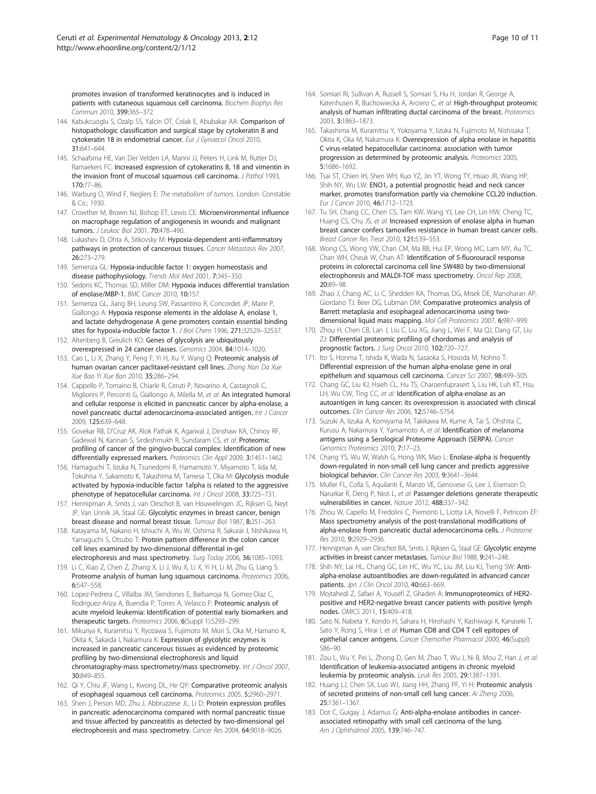<span id="page-9-0"></span>promotes invasion of transformed keratinocytes and is induced in patients with cutaneous squamous cell carcinoma. Biochem Biophys Res Commun 2010, 399:365–372.

- 144. Kabukcuoglu S, Ozalp SS, Yalcin OT, Colak E, Abubakar AA: Comparison of histopathologic classification and surgical stage by cytokeratin 8 and cytokeratin 18 in endometrial cancer. Eur J Gynaecol Oncol 2010, 31:641–644.
- 145. Schaafsma HE, Van Der Velden LA, Manni JJ, Peters H, Link M, Rutter DJ, Ramaekers FC: Increased expression of cytokeratins 8, 18 and vimentin in the invasion front of mucosal squamous cell carcinoma. J Pathol 1993, 170:77–86.
- 146. Warburg O, Wind F, Neglers E: The metabolism of tumors. London: Constable & Co.; 1930.
- 147. Crowther M, Brown NJ, Bishop ET, Lewis CE: Microenvironmental influence on macrophage regulation of angiogenesis in wounds and malignant tumors. J Leukoc Biol 2001, 70:478–490.
- 148. Lukashev D, Ohta A, Sitkovsky M: Hypoxia-dependent anti-inflammatory pathways in protection of cancerous tissues. Cancer Metastasis Rev 2007, 26:273–279.
- 149. Semenza GL: Hypoxia-inducible factor 1: oxygen homeostasis and disease pathophysiology. Trends Mol Med 2001, 7:345–350.
- 150. Sedoris KC, Thomas SD, Miller DM: Hypoxia induces differential translation of enolase/MBP-1. BMC Cancer 2010, 10:157.
- 151. Semenza GL, Jiang BH, Leung SW, Passantino R, Concordet JP, Maire P, Giallongo A: Hypoxia response elements in the aldolase A, enolase 1, and lactate dehydrogenase A gene promoters contain essential binding sites for hypoxia-inducible factor 1. J Biol Chem 1996, 271:32529–32537.
- 152. Altenberg B, Greulich KO: Genes of glycolysis are ubiquitously overexpressed in 24 cancer classes. Genomics 2004, 84:1014–1020.
- 153. Cao L, Li X, Zhang Y, Peng F, Yi H, Xu Y, Wang Q: Proteomic analysis of human ovarian cancer paclitaxel-resistant cell lines. Zhong Nan Da Xue Xue Bao Yi Xue Ban 2010, 35:286–294.
- 154. Cappello P, Tomaino B, Chiarle R, Ceruti P, Novarino A, Castagnoli C, Migliorini P, Perconti G, Giallongo A, Milella M, et al: An integrated humoral and cellular response is elicited in pancreatic cancer by alpha-enolase, a novel pancreatic ductal adenocarcinoma-associated antigen. Int J Cancer 2009, 125:639–648.
- 155. Govekar RB, D'Cruz AK, Alok Pathak K, Agarwal J, Dinshaw KA, Chinoy RF, Gadewal N, Kannan S, Sirdeshmukh R, Sundaram CS, et al: Proteomic profiling of cancer of the gingivo-buccal complex: Identification of new differentially expressed markers. Proteomics Clin Appl 2009, 3:1451-1462.
- 156. Hamaguchi T, Iizuka N, Tsunedomi R, Hamamoto Y, Miyamoto T, Iida M, Tokuhisa Y, Sakamoto K, Takashima M, Tamesa T, Oka M: Glycolysis module activated by hypoxia-inducible factor 1alpha is related to the aggressive phenotype of hepatocellular carcinoma. Int J Oncol 2008, 33:725-731.
- 157. Hennipman A, Smits J, van Oirschot B, van Houwelingen JC, Rijksen G, Neyt JP, Van Unnik JA, Staal GE: Glycolytic enzymes in breast cancer, benign breast disease and normal breast tissue. Tumour Biol 1987, 8:251–263.
- 158. Katayama M, Nakano H, Ishiuchi A, Wu W, Oshima R, Sakurai J, Nishikawa H, Yamaguchi S, Otsubo T: Protein pattern difference in the colon cancer cell lines examined by two-dimensional differential in-gel electrophoresis and mass spectrometry. Surg Today 2006, 36:1085–1093.
- 159. Li C, Xiao Z, Chen Z, Zhang X, Li J, Wu X, Li X, Yi H, Li M, Zhu G, Liang S: Proteome analysis of human lung squamous carcinoma. Proteomics 2006, 6:547–558.
- 160. Lopez-Pedrera C, Villalba JM, Siendones E, Barbarroja N, Gomez-Diaz C, Rodriguez-Ariza A, Buendia P, Torres A, Velasco F: Proteomic analysis of acute myeloid leukemia: Identification of potential early biomarkers and therapeutic targets. Proteomics 2006, 6(Suppl 1):S293–299.
- 161. Mikuriya K, Kuramitsu Y, Ryozawa S, Fujimoto M, Mori S, Oka M, Hamano K, Okita K, Sakaida I, Nakamura K: Expression of glycolytic enzymes is increased in pancreatic cancerous tissues as evidenced by proteomic profiling by two-dimensional electrophoresis and liquid chromatography-mass spectrometry/mass spectrometry. Int J Oncol 2007, 30:849–855.
- 162. Qi Y, Chiu JF, Wang L, Kwong DL, He QY: Comparative proteomic analysis of esophageal squamous cell carcinoma. Proteomics 2005, 5:2960–2971.
- 163. Shen J, Person MD, Zhu J, Abbruzzese JL, Li D: Protein expression profiles in pancreatic adenocarcinoma compared with normal pancreatic tissue and tissue affected by pancreatitis as detected by two-dimensional gel electrophoresis and mass spectrometry. Cancer Res 2004, 64:9018–9026.
- 164. Somiari RI, Sullivan A, Russell S, Somiari S, Hu H, Jordan R, George A, Katenhusen R, Buchowiecka A, Arciero C, et al: High-throughput proteomic analysis of human infiltrating ductal carcinoma of the breast. Proteomics 2003, 3:1863–1873.
- 165. Takashima M, Kuramitsu Y, Yokoyama Y, Iizuka N, Fujimoto M, Nishisaka T, Okita K, Oka M, Nakamura K: Overexpression of alpha enolase in hepatitis C virus-related hepatocellular carcinoma: association with tumor progression as determined by proteomic analysis. Proteomics 2005, 5:1686–1692.
- 166. Tsai ST, Chien IH, Shen WH, Kuo YZ, Jin YT, Wong TY, Hsiao JR, Wang HP, Shih NY, Wu LW: ENO1, a potential prognostic head and neck cancer marker, promotes transformation partly via chemokine CCL20 induction. Eur J Cancer 2010, 46:1712–1723.
- 167. Tu SH, Chang CC, Chen CS, Tam KW, Wang YJ, Lee CH, Lin HW, Cheng TC, Huang CS, Chu JS, et al: Increased expression of enolase alpha in human breast cancer confers tamoxifen resistance in human breast cancer cells. Breast Cancer Res Treat 2010, 121:539–553.
- 168. Wong CS, Wong VW, Chan CM, Ma BB, Hui EP, Wong MC, Lam MY, Au TC, Chan WH, Cheuk W, Chan AT: Identification of 5-fluorouracil response proteins in colorectal carcinoma cell line SW480 by two-dimensional electrophoresis and MALDI-TOF mass spectrometry. Oncol Rep 2008, 20:89–98.
- 169. Zhao J, Chang AC, Li C, Shedden KA, Thomas DG, Misek DE, Manoharan AP, Giordano TJ, Beer DG, Lubman DM: Comparative proteomics analysis of Barrett metaplasia and esophageal adenocarcinoma using twodimensional liquid mass mapping. Mol Cell Proteomics 2007, 6:987–999.
- 170. Zhou H, Chen CB, Lan J, Liu C, Liu XG, Jiang L, Wei F, Ma QJ, Dang GT, Liu ZJ: Differential proteomic profiling of chordomas and analysis of prognostic factors. J Surg Oncol 2010, 102:720–727.
- 171. Ito S, Honma T, Ishida K, Wada N, Sasaoka S, Hosoda M, Nohno T: Differential expression of the human alpha-enolase gene in oral epithelium and squamous cell carcinoma. Cancer Sci 2007, 98:499-505.
- 172. Chang GC, Liu KJ, Hsieh CL, Hu TS, Charoenfuprasert S, Liu HK, Luh KT, Hsu LH, Wu CW, Ting CC, et al: Identification of alpha-enolase as an autoantigen in lung cancer: its overexpression is associated with clinical outcomes. Clin Cancer Res 2006, 12:5746–5754.
- 173. Suzuki A, Iizuka A, Komiyama M, Takikawa M, Kume A, Tai S, Ohshita C, Kurusu A, Nakamura Y, Yamamoto A, et al: Identification of melanoma antigens using a Serological Proteome Approach (SERPA). Cancer Genomics Proteomics 2010, 7:17–23.
- 174. Chang YS, Wu W, Walsh G, Hong WK, Mao L: Enolase-alpha is frequently down-regulated in non-small cell lung cancer and predicts aggressive biological behavior. Clin Cancer Res 2003, 9:3641–3644.
- 175. Muller FL, Colla S, Aquilanti E, Manzo VE, Genovese G, Lee J, Eisenson D, Narurkar R, Deng P, Nezi L, et al: Passenger deletions generate therapeutic vulnerabilities in cancer. Nature 2012, 488:337-342.
- 176. Zhou W, Capello M, Fredolini C, Piemonti L, Liotta LA, Novelli F, Petricoin EF: Mass spectrometry analysis of the post-translational modifications of alpha-enolase from pancreatic ductal adenocarcinoma cells. J Proteome Res 2010, 9:2929–2936.
- 177. Hennipman A, van Oirschot BA, Smits J, Rijksen G, Staal GE: Glycolytic enzyme activities in breast cancer metastases. Tumour Biol 1988, 9:241–248.
- 178. Shih NY, Lai HL, Chang GC, Lin HC, Wu YC, Liu JM, Liu KJ, Tseng SW: Antialpha-enolase autoantibodies are down-regulated in advanced cancer patients. Jpn J Clin Oncol 2010, 40:663-669.
- 179. Mojtahedi Z, Safaei A, Yousefi Z, Ghaderi A: Immunoproteomics of HER2positive and HER2-negative breast cancer patients with positive lymph nodes. OMICS 2011, 15:409–418.
- 180. Sato N, Nabeta Y, Kondo H, Sahara H, Hirohashi Y, Kashiwagi K, Kanaseki T, Sato Y, Rong S, Hirai I, et al: Human CD8 and CD4 T cell epitopes of epithelial cancer antigens. Cancer Chemother Pharmacol 2000, 46(Suppl): S86–90.
- 181. Zou L, Wu Y, Pei L, Zhong D, Gen M, Zhao T, Wu J, Ni B, Mou Z, Han J, et al: Identification of leukemia-associated antigens in chronic myeloid leukemia by proteomic analysis. Leuk Res 2005, 29:1387–1391.
- 182. Huang LJ, Chen SX, Luo WJ, Jiang HH, Zhang PF, Yi H: Proteomic analysis of secreted proteins of non-small cell lung cancer. Ai Zheng 2006, 25:1361–1367.
- 183. Dot C, Guigay J, Adamus G: Anti-alpha-enolase antibodies in cancerassociated retinopathy with small cell carcinoma of the lung. Am J Ophthalmol 2005, 139:746–747.